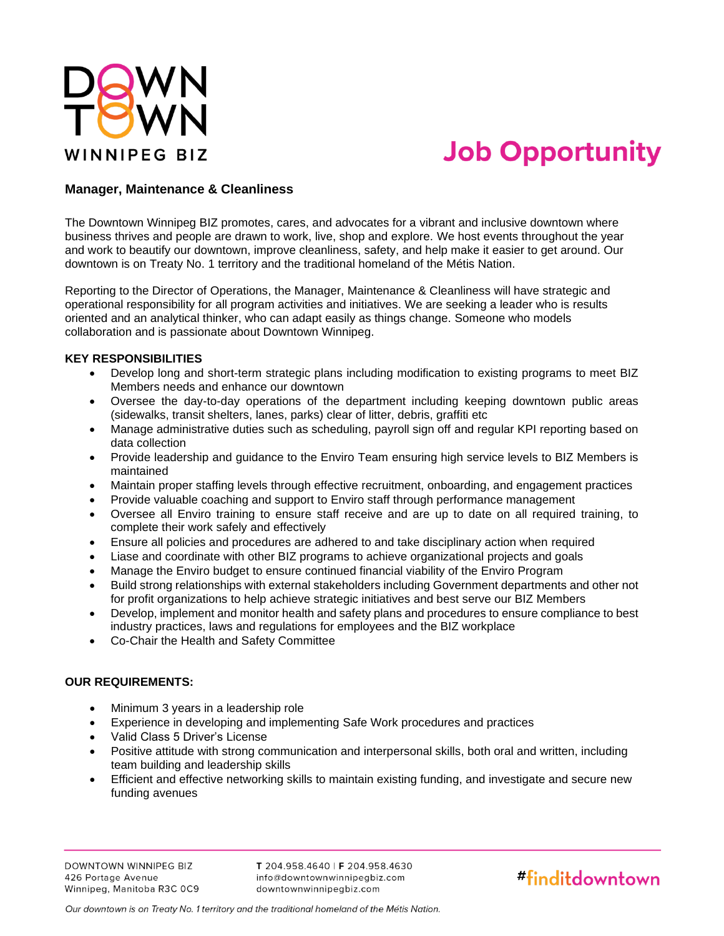

# **Job Opportunity**

## **Manager, Maintenance & Cleanliness**

The Downtown Winnipeg BIZ promotes, cares, and advocates for a vibrant and inclusive downtown where business thrives and people are drawn to work, live, shop and explore. We host events throughout the year and work to beautify our downtown, improve cleanliness, safety, and help make it easier to get around. Our downtown is on Treaty No. 1 territory and the traditional homeland of the Métis Nation.

Reporting to the Director of Operations, the Manager, Maintenance & Cleanliness will have strategic and operational responsibility for all program activities and initiatives. We are seeking a leader who is results oriented and an analytical thinker, who can adapt easily as things change. Someone who models collaboration and is passionate about Downtown Winnipeg.

#### **KEY RESPONSIBILITIES**

- Develop long and short-term strategic plans including modification to existing programs to meet BIZ Members needs and enhance our downtown
- Oversee the day-to-day operations of the department including keeping downtown public areas (sidewalks, transit shelters, lanes, parks) clear of litter, debris, graffiti etc
- Manage administrative duties such as scheduling, payroll sign off and regular KPI reporting based on data collection
- Provide leadership and guidance to the Enviro Team ensuring high service levels to BIZ Members is maintained
- Maintain proper staffing levels through effective recruitment, onboarding, and engagement practices
- Provide valuable coaching and support to Enviro staff through performance management
- Oversee all Enviro training to ensure staff receive and are up to date on all required training, to complete their work safely and effectively
- Ensure all policies and procedures are adhered to and take disciplinary action when required
- Liase and coordinate with other BIZ programs to achieve organizational projects and goals
- Manage the Enviro budget to ensure continued financial viability of the Enviro Program
- Build strong relationships with external stakeholders including Government departments and other not for profit organizations to help achieve strategic initiatives and best serve our BIZ Members
- Develop, implement and monitor health and safety plans and procedures to ensure compliance to best industry practices, laws and regulations for employees and the BIZ workplace
- Co-Chair the Health and Safety Committee

### **OUR REQUIREMENTS:**

- Minimum 3 years in a leadership role
- Experience in developing and implementing Safe Work procedures and practices
- Valid Class 5 Driver's License
- Positive attitude with strong communication and interpersonal skills, both oral and written, including team building and leadership skills
- Efficient and effective networking skills to maintain existing funding, and investigate and secure new funding avenues

T 204.958.4640 | F 204.958.4630 info@downtownwinnipegbiz.com downtownwinnipegbiz.com